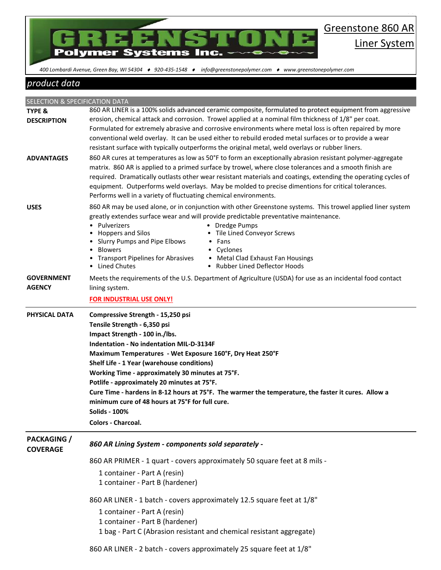

86

 *400 Lombardi Avenue, Green Bay, WI 54304 920-435-1548 info@greenstonepolymer.com www.greenstonepolymer.com* 

## *product data*

| SELECTION & SPECIFICATION DATA        |                                                                                                                                                                                                                                                                                                                                                                                                                                                                                                                                                                                     |
|---------------------------------------|-------------------------------------------------------------------------------------------------------------------------------------------------------------------------------------------------------------------------------------------------------------------------------------------------------------------------------------------------------------------------------------------------------------------------------------------------------------------------------------------------------------------------------------------------------------------------------------|
| <b>TYPE &amp;</b>                     | 860 AR LINER is a 100% solids advanced ceramic composite, formulated to protect equipment from aggressive                                                                                                                                                                                                                                                                                                                                                                                                                                                                           |
| <b>DESCRIPTION</b>                    | erosion, chemical attack and corrosion. Trowel applied at a nominal film thickness of 1/8" per coat.<br>Formulated for extremely abrasive and corrosive environments where metal loss is often repaired by more<br>conventional weld overlay. It can be used either to rebuild eroded metal surfaces or to provide a wear<br>resistant surface with typically outperforms the original metal, weld overlays or rubber liners.                                                                                                                                                       |
| <b>ADVANTAGES</b>                     | 860 AR cures at temperatures as low as 50°F to form an exceptionally abrasion resistant polymer-aggregate<br>matrix. 860 AR is applied to a primed surface by trowel, where close tolerances and a smooth finish are<br>required. Dramatically outlasts other wear resistant materials and coatings, extending the operating cycles of<br>equipment. Outperforms weld overlays. May be molded to precise dimentions for critical tolerances.<br>Performs well in a variety of fluctuating chemical environments.                                                                    |
| <b>USES</b>                           | 860 AR may be used alone, or in conjunction with other Greenstone systems. This trowel applied liner system<br>greatly extendes surface wear and will provide predictable preventative maintenance.<br>Pulverizers<br>• Dredge Pumps<br><b>Hoppers and Silos</b><br>Tile Lined Conveyor Screws<br><b>Slurry Pumps and Pipe Elbows</b><br>Fans<br><b>Blowers</b><br>• Cyclones<br><b>Transport Pipelines for Abrasives</b><br>• Metal Clad Exhaust Fan Housings<br><b>Lined Chutes</b><br>• Rubber Lined Deflector Hoods                                                             |
| <b>GOVERNMENT</b><br><b>AGENCY</b>    | Meets the requirements of the U.S. Department of Agriculture (USDA) for use as an incidental food contact<br>lining system.<br><b>FOR INDUSTRIAL USE ONLY!</b>                                                                                                                                                                                                                                                                                                                                                                                                                      |
| <b>PHYSICAL DATA</b>                  | Compressive Strength - 15,250 psi<br>Tensile Strength - 6,350 psi<br>Impact Strength - 100 in./lbs.<br><b>Indentation - No indentation MIL-D-3134F</b><br>Maximum Temperatures - Wet Exposure 160°F, Dry Heat 250°F<br>Shelf Life - 1 Year (warehouse conditions)<br>Working Time - approximately 30 minutes at 75°F.<br>Potlife - approximately 20 minutes at 75°F.<br>Cure Time - hardens in 8-12 hours at 75°F. The warmer the temperature, the faster it cures. Allow a<br>minimum cure of 48 hours at 75°F for full cure.<br><b>Solids - 100%</b><br><b>Colors - Charcoal.</b> |
| <b>PACKAGING</b> /<br><b>COVERAGE</b> | 860 AR Lining System - components sold separately -                                                                                                                                                                                                                                                                                                                                                                                                                                                                                                                                 |
|                                       | 860 AR PRIMER - 1 quart - covers approximately 50 square feet at 8 mils -<br>1 container - Part A (resin)<br>1 container - Part B (hardener)                                                                                                                                                                                                                                                                                                                                                                                                                                        |
|                                       | 860 AR LINER - 1 batch - covers approximately 12.5 square feet at 1/8"<br>1 container - Part A (resin)<br>1 container - Part B (hardener)<br>1 bag - Part C (Abrasion resistant and chemical resistant aggregate)<br>860 AR LINER - 2 batch - covers approximately 25 square feet at 1/8"                                                                                                                                                                                                                                                                                           |
|                                       |                                                                                                                                                                                                                                                                                                                                                                                                                                                                                                                                                                                     |